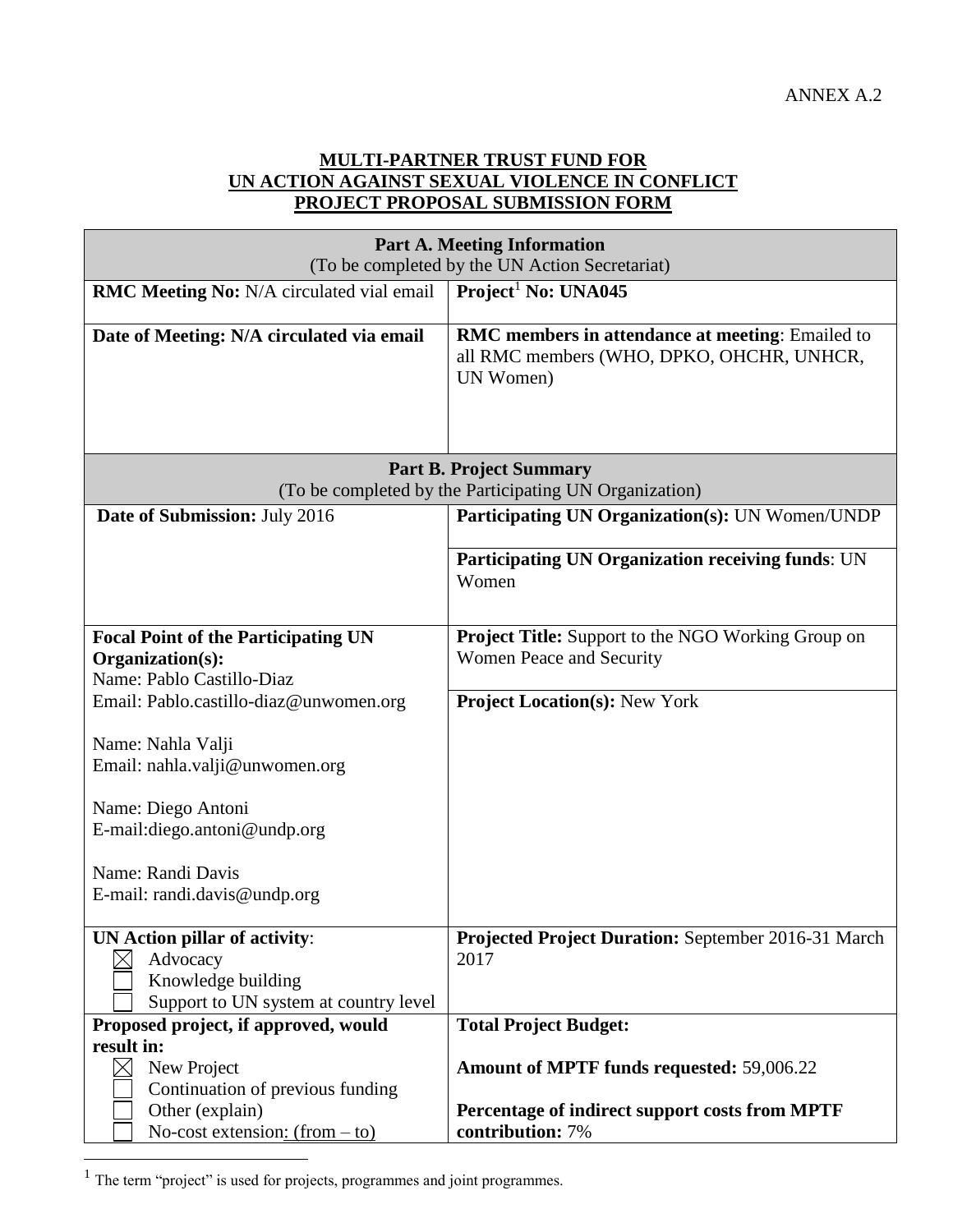## **MULTI-PARTNER TRUST FUND FOR UN ACTION AGAINST SEXUAL VIOLENCE IN CONFLICT PROJECT PROPOSAL SUBMISSION FORM**

| <b>Part A. Meeting Information</b><br>(To be completed by the UN Action Secretariat)                            |                                                                                                                   |  |  |  |
|-----------------------------------------------------------------------------------------------------------------|-------------------------------------------------------------------------------------------------------------------|--|--|--|
| RMC Meeting No: N/A circulated vial email                                                                       | Project <sup>1</sup> No: UNA045                                                                                   |  |  |  |
| Date of Meeting: N/A circulated via email                                                                       | <b>RMC</b> members in attendance at meeting: Emailed to<br>all RMC members (WHO, DPKO, OHCHR, UNHCR,<br>UN Women) |  |  |  |
|                                                                                                                 | <b>Part B. Project Summary</b><br>(To be completed by the Participating UN Organization)                          |  |  |  |
| Date of Submission: July 2016                                                                                   | Participating UN Organization(s): UN Women/UNDP                                                                   |  |  |  |
|                                                                                                                 | Participating UN Organization receiving funds: UN<br>Women                                                        |  |  |  |
| <b>Focal Point of the Participating UN</b><br>Organization(s):<br>Name: Pablo Castillo-Diaz                     | <b>Project Title:</b> Support to the NGO Working Group on<br>Women Peace and Security                             |  |  |  |
| Email: Pablo.castillo-diaz@unwomen.org                                                                          | <b>Project Location(s): New York</b>                                                                              |  |  |  |
| Name: Nahla Valji<br>Email: nahla.valji@unwomen.org                                                             |                                                                                                                   |  |  |  |
| Name: Diego Antoni<br>E-mail:diego.antoni@undp.org                                                              |                                                                                                                   |  |  |  |
| Name: Randi Davis<br>E-mail: randi.davis@undp.org                                                               |                                                                                                                   |  |  |  |
| <b>UN Action pillar of activity:</b><br>Advocacy<br>Knowledge building<br>Support to UN system at country level | Projected Project Duration: September 2016-31 March<br>2017                                                       |  |  |  |
| Proposed project, if approved, would<br>result in:                                                              | <b>Total Project Budget:</b>                                                                                      |  |  |  |
| New Project<br>Continuation of previous funding                                                                 | Amount of MPTF funds requested: 59,006.22                                                                         |  |  |  |
| Other (explain)<br>No-cost extension: $(from - to)$                                                             | Percentage of indirect support costs from MPTF<br>contribution: 7%                                                |  |  |  |

 $<sup>1</sup>$  The term "project" is used for projects, programmes and joint programmes.</sup>

 $\overline{a}$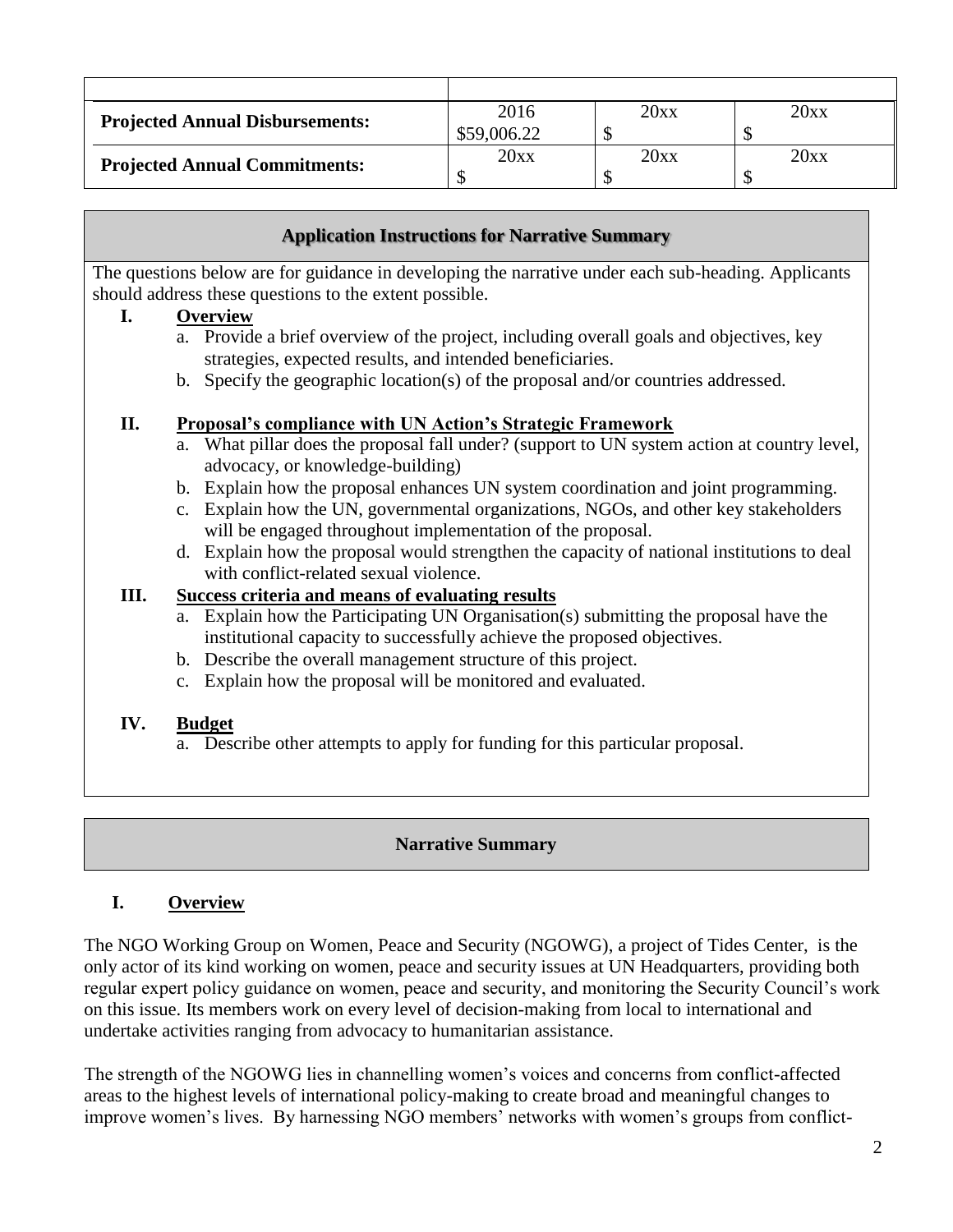| <b>Projected Annual Disbursements:</b> | 2016        | 20xx | 20xx |
|----------------------------------------|-------------|------|------|
|                                        | \$59,006.22 |      |      |
| <b>Projected Annual Commitments:</b>   | 20xx        | 20xx | 20xx |
|                                        |             |      |      |

## **Application Instructions for Narrative Summary**

The questions below are for guidance in developing the narrative under each sub-heading. Applicants should address these questions to the extent possible.

## **I. Overview**

- a. Provide a brief overview of the project, including overall goals and objectives, key strategies, expected results, and intended beneficiaries.
- b. Specify the geographic location(s) of the proposal and/or countries addressed.

## **II. Proposal's compliance with UN Action's Strategic Framework**

- a. What pillar does the proposal fall under? (support to UN system action at country level, advocacy, or knowledge-building)
- b. Explain how the proposal enhances UN system coordination and joint programming.
- c. Explain how the UN, governmental organizations, NGOs, and other key stakeholders will be engaged throughout implementation of the proposal.
- d. Explain how the proposal would strengthen the capacity of national institutions to deal with conflict-related sexual violence.

## **III. Success criteria and means of evaluating results**

- a. Explain how the Participating UN Organisation(s) submitting the proposal have the institutional capacity to successfully achieve the proposed objectives.
- b. Describe the overall management structure of this project.
- c. Explain how the proposal will be monitored and evaluated.

### **IV. Budget**

a. Describe other attempts to apply for funding for this particular proposal.

## **Narrative Summary**

# **I. Overview**

The NGO Working Group on Women, Peace and Security (NGOWG), a project of Tides Center, is the only actor of its kind working on women, peace and security issues at UN Headquarters, providing both regular expert policy guidance on women, peace and security, and monitoring the Security Council's work on this issue. Its members work on every level of decision-making from local to international and undertake activities ranging from advocacy to humanitarian assistance.

The strength of the NGOWG lies in channelling women's voices and concerns from conflict-affected areas to the highest levels of international policy-making to create broad and meaningful changes to improve women's lives. By harnessing NGO members' networks with women's groups from conflict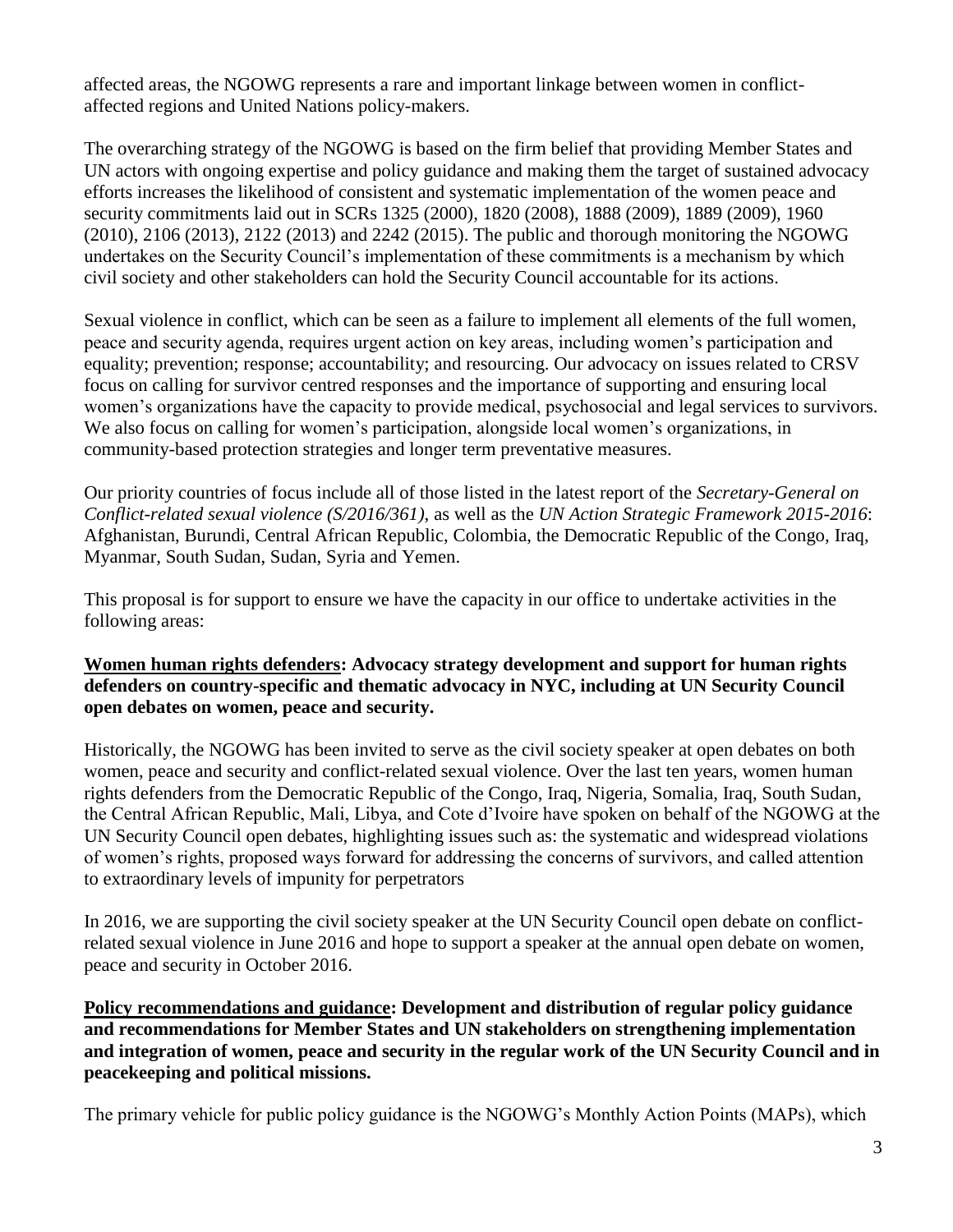affected areas, the NGOWG represents a rare and important linkage between women in conflictaffected regions and United Nations policy-makers.

The overarching strategy of the NGOWG is based on the firm belief that providing Member States and UN actors with ongoing expertise and policy guidance and making them the target of sustained advocacy efforts increases the likelihood of consistent and systematic implementation of the women peace and security commitments laid out in SCRs 1325 (2000), 1820 (2008), 1888 (2009), 1889 (2009), 1960 (2010), 2106 (2013), 2122 (2013) and 2242 (2015). The public and thorough monitoring the NGOWG undertakes on the Security Council's implementation of these commitments is a mechanism by which civil society and other stakeholders can hold the Security Council accountable for its actions.

Sexual violence in conflict, which can be seen as a failure to implement all elements of the full women, peace and security agenda, requires urgent action on key areas, including women's participation and equality; prevention; response; accountability; and resourcing. Our advocacy on issues related to CRSV focus on calling for survivor centred responses and the importance of supporting and ensuring local women's organizations have the capacity to provide medical, psychosocial and legal services to survivors. We also focus on calling for women's participation, alongside local women's organizations, in community-based protection strategies and longer term preventative measures.

Our priority countries of focus include all of those listed in the latest report of the *Secretary-General on Conflict-related sexual violence (S/2016/361)*, as well as the *UN Action Strategic Framework 2015-2016*: Afghanistan, Burundi, Central African Republic, Colombia, the Democratic Republic of the Congo, Iraq, Myanmar, South Sudan, Sudan, Syria and Yemen.

This proposal is for support to ensure we have the capacity in our office to undertake activities in the following areas:

## **Women human rights defenders: Advocacy strategy development and support for human rights defenders on country-specific and thematic advocacy in NYC, including at UN Security Council open debates on women, peace and security.**

Historically, the NGOWG has been invited to serve as the civil society speaker at open debates on both women, peace and security and conflict-related sexual violence. Over the last ten years, women human rights defenders from the Democratic Republic of the Congo, Iraq, Nigeria, Somalia, Iraq, South Sudan, the Central African Republic, Mali, Libya, and Cote d'Ivoire have spoken on behalf of the NGOWG at the UN Security Council open debates, highlighting issues such as: the systematic and widespread violations of women's rights, proposed ways forward for addressing the concerns of survivors, and called attention to extraordinary levels of impunity for perpetrators

In 2016, we are supporting the civil society speaker at the UN Security Council open debate on conflictrelated sexual violence in June 2016 and hope to support a speaker at the annual open debate on women, peace and security in October 2016.

**Policy recommendations and guidance: Development and distribution of regular policy guidance and recommendations for Member States and UN stakeholders on strengthening implementation and integration of women, peace and security in the regular work of the UN Security Council and in peacekeeping and political missions.** 

The primary vehicle for public policy guidance is the NGOWG's Monthly Action Points (MAPs), which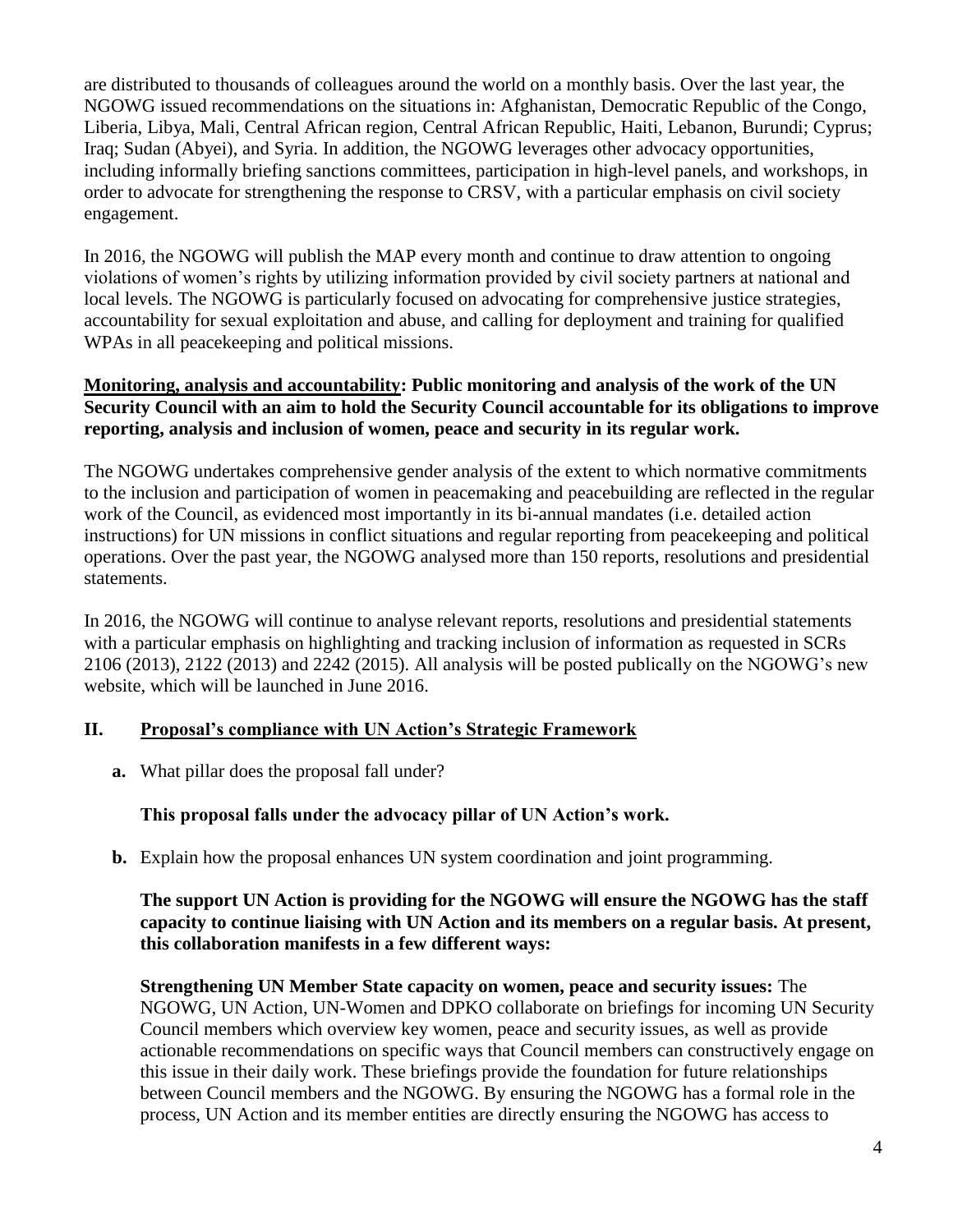are distributed to thousands of colleagues around the world on a monthly basis. Over the last year, the NGOWG issued recommendations on the situations in: Afghanistan, Democratic Republic of the Congo, Liberia, Libya, Mali, Central African region, Central African Republic, Haiti, Lebanon, Burundi; Cyprus; Iraq; Sudan (Abyei), and Syria. In addition, the NGOWG leverages other advocacy opportunities, including informally briefing sanctions committees, participation in high-level panels, and workshops, in order to advocate for strengthening the response to CRSV, with a particular emphasis on civil society engagement.

In 2016, the NGOWG will publish the MAP every month and continue to draw attention to ongoing violations of women's rights by utilizing information provided by civil society partners at national and local levels. The NGOWG is particularly focused on advocating for comprehensive justice strategies, accountability for sexual exploitation and abuse, and calling for deployment and training for qualified WPAs in all peacekeeping and political missions.

### **Monitoring, analysis and accountability: Public monitoring and analysis of the work of the UN Security Council with an aim to hold the Security Council accountable for its obligations to improve reporting, analysis and inclusion of women, peace and security in its regular work.**

The NGOWG undertakes comprehensive gender analysis of the extent to which normative commitments to the inclusion and participation of women in peacemaking and peacebuilding are reflected in the regular work of the Council, as evidenced most importantly in its bi-annual mandates (i.e. detailed action instructions) for UN missions in conflict situations and regular reporting from peacekeeping and political operations. Over the past year, the NGOWG analysed more than 150 reports, resolutions and presidential statements.

In 2016, the NGOWG will continue to analyse relevant reports, resolutions and presidential statements with a particular emphasis on highlighting and tracking inclusion of information as requested in SCRs 2106 (2013), 2122 (2013) and 2242 (2015). All analysis will be posted publically on the NGOWG's new website, which will be launched in June 2016.

## **II. Proposal's compliance with UN Action's Strategic Framework**

**a.** What pillar does the proposal fall under?

## **This proposal falls under the advocacy pillar of UN Action's work.**

**b.** Explain how the proposal enhances UN system coordination and joint programming.

### **The support UN Action is providing for the NGOWG will ensure the NGOWG has the staff capacity to continue liaising with UN Action and its members on a regular basis. At present, this collaboration manifests in a few different ways:**

**Strengthening UN Member State capacity on women, peace and security issues:** The NGOWG, UN Action, UN-Women and DPKO collaborate on briefings for incoming UN Security Council members which overview key women, peace and security issues, as well as provide actionable recommendations on specific ways that Council members can constructively engage on this issue in their daily work. These briefings provide the foundation for future relationships between Council members and the NGOWG. By ensuring the NGOWG has a formal role in the process, UN Action and its member entities are directly ensuring the NGOWG has access to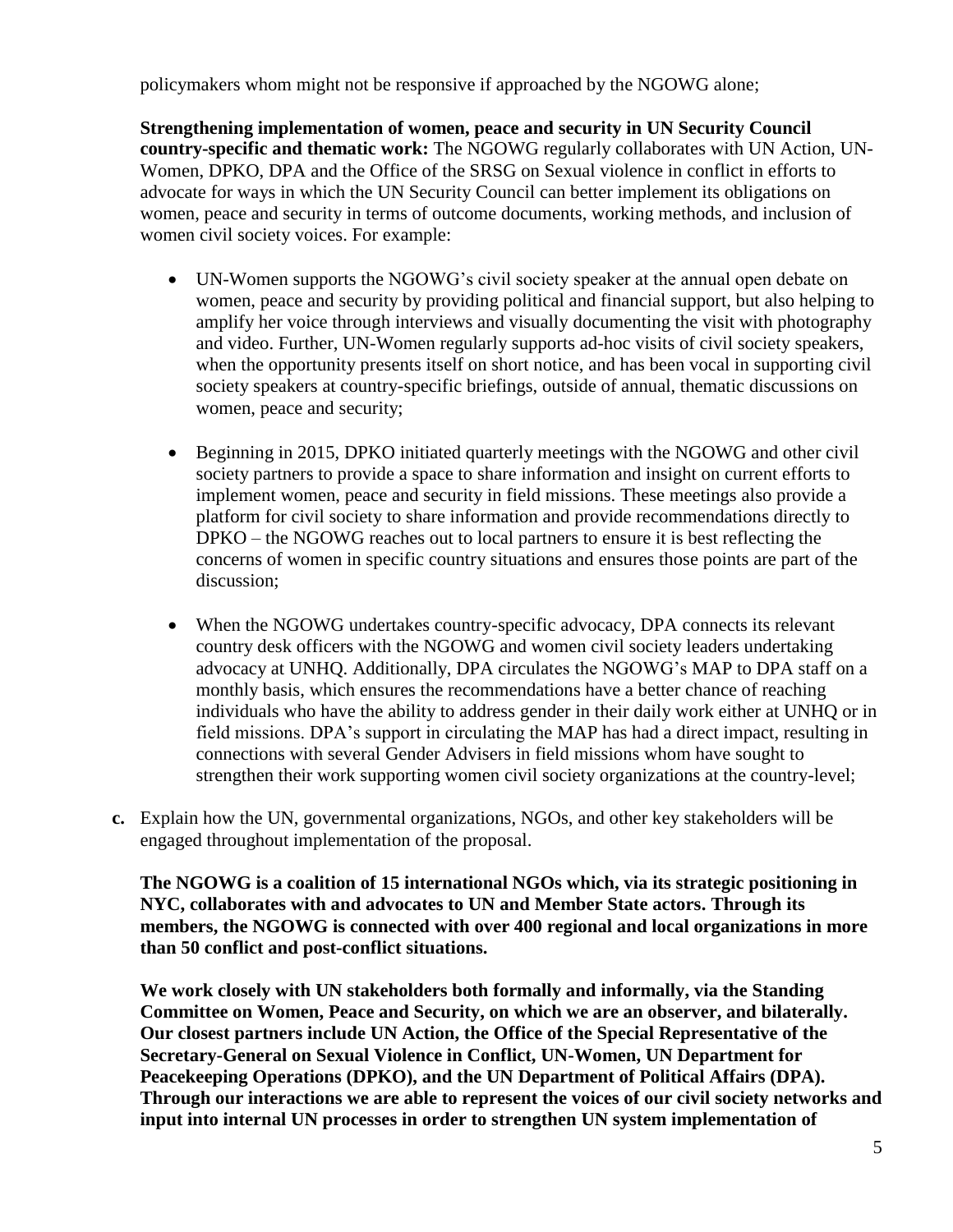policymakers whom might not be responsive if approached by the NGOWG alone;

**Strengthening implementation of women, peace and security in UN Security Council country-specific and thematic work:** The NGOWG regularly collaborates with UN Action, UN-Women, DPKO, DPA and the Office of the SRSG on Sexual violence in conflict in efforts to advocate for ways in which the UN Security Council can better implement its obligations on women, peace and security in terms of outcome documents, working methods, and inclusion of women civil society voices. For example:

- UN-Women supports the NGOWG's civil society speaker at the annual open debate on women, peace and security by providing political and financial support, but also helping to amplify her voice through interviews and visually documenting the visit with photography and video. Further, UN-Women regularly supports ad-hoc visits of civil society speakers, when the opportunity presents itself on short notice, and has been vocal in supporting civil society speakers at country-specific briefings, outside of annual, thematic discussions on women, peace and security;
- Beginning in 2015, DPKO initiated quarterly meetings with the NGOWG and other civil society partners to provide a space to share information and insight on current efforts to implement women, peace and security in field missions. These meetings also provide a platform for civil society to share information and provide recommendations directly to DPKO – the NGOWG reaches out to local partners to ensure it is best reflecting the concerns of women in specific country situations and ensures those points are part of the discussion;
- When the NGOWG undertakes country-specific advocacy, DPA connects its relevant country desk officers with the NGOWG and women civil society leaders undertaking advocacy at UNHQ. Additionally, DPA circulates the NGOWG's MAP to DPA staff on a monthly basis, which ensures the recommendations have a better chance of reaching individuals who have the ability to address gender in their daily work either at UNHQ or in field missions. DPA's support in circulating the MAP has had a direct impact, resulting in connections with several Gender Advisers in field missions whom have sought to strengthen their work supporting women civil society organizations at the country-level;
- **c.** Explain how the UN, governmental organizations, NGOs, and other key stakeholders will be engaged throughout implementation of the proposal.

**The NGOWG is a coalition of 15 international NGOs which, via its strategic positioning in NYC, collaborates with and advocates to UN and Member State actors. Through its members, the NGOWG is connected with over 400 regional and local organizations in more than 50 conflict and post-conflict situations.** 

**We work closely with UN stakeholders both formally and informally, via the Standing Committee on Women, Peace and Security, on which we are an observer, and bilaterally. Our closest partners include UN Action, the Office of the Special Representative of the Secretary-General on Sexual Violence in Conflict, UN-Women, UN Department for Peacekeeping Operations (DPKO), and the UN Department of Political Affairs (DPA). Through our interactions we are able to represent the voices of our civil society networks and input into internal UN processes in order to strengthen UN system implementation of**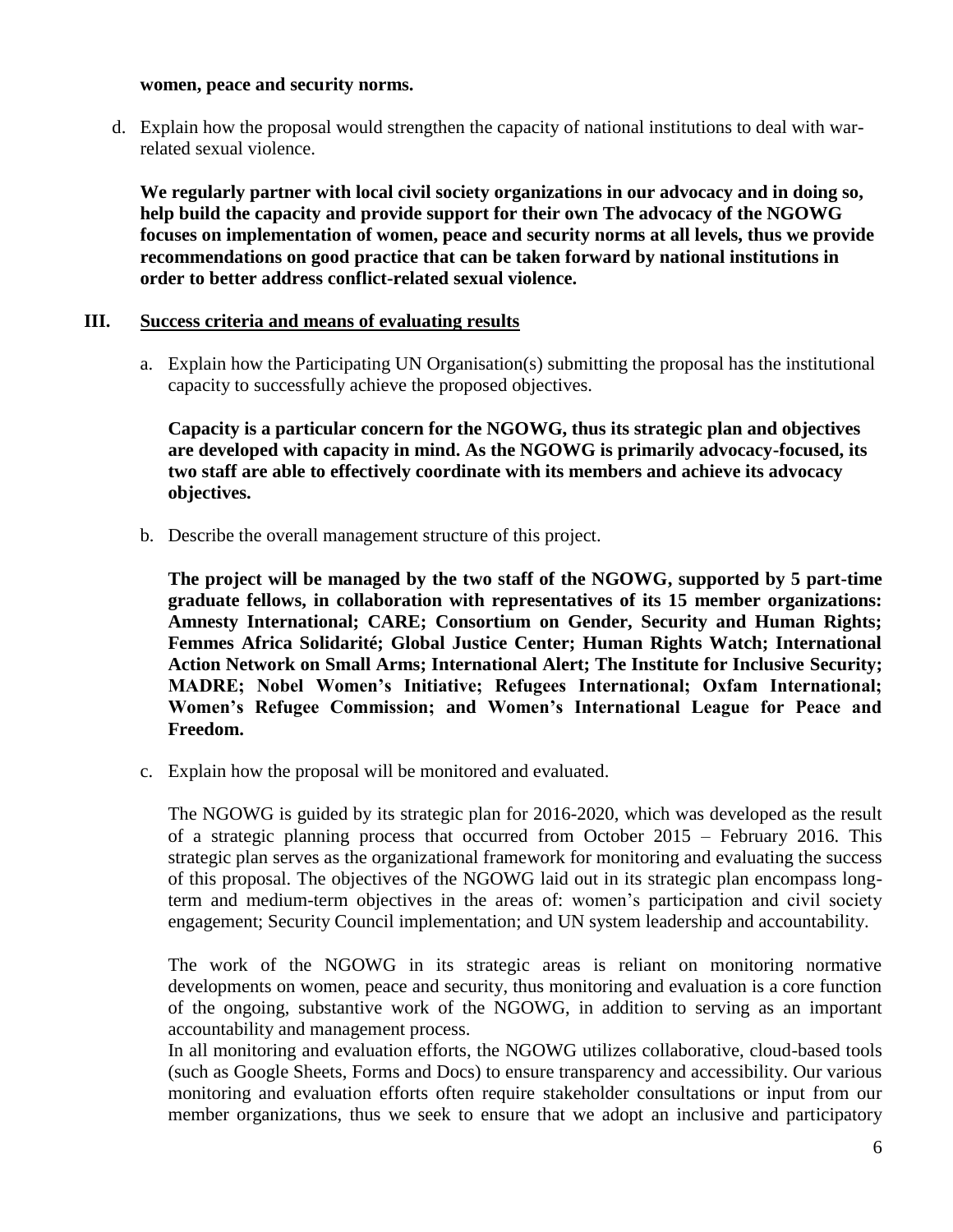#### **women, peace and security norms.**

d. Explain how the proposal would strengthen the capacity of national institutions to deal with warrelated sexual violence.

**We regularly partner with local civil society organizations in our advocacy and in doing so, help build the capacity and provide support for their own The advocacy of the NGOWG focuses on implementation of women, peace and security norms at all levels, thus we provide recommendations on good practice that can be taken forward by national institutions in order to better address conflict-related sexual violence.**

#### **III. Success criteria and means of evaluating results**

a. Explain how the Participating UN Organisation(s) submitting the proposal has the institutional capacity to successfully achieve the proposed objectives.

**Capacity is a particular concern for the NGOWG, thus its strategic plan and objectives are developed with capacity in mind. As the NGOWG is primarily advocacy-focused, its two staff are able to effectively coordinate with its members and achieve its advocacy objectives.**

b. Describe the overall management structure of this project.

**The project will be managed by the two staff of the NGOWG, supported by 5 part-time graduate fellows, in collaboration with representatives of its 15 member organizations: Amnesty International; CARE; Consortium on Gender, Security and Human Rights; Femmes Africa Solidarité; Global Justice Center; Human Rights Watch; International Action Network on Small Arms; International Alert; The Institute for Inclusive Security; MADRE; Nobel Women's Initiative; Refugees International; Oxfam International; Women's Refugee Commission; and Women's International League for Peace and Freedom.**

c. Explain how the proposal will be monitored and evaluated.

The NGOWG is guided by its strategic plan for 2016-2020, which was developed as the result of a strategic planning process that occurred from October 2015 – February 2016. This strategic plan serves as the organizational framework for monitoring and evaluating the success of this proposal. The objectives of the NGOWG laid out in its strategic plan encompass longterm and medium-term objectives in the areas of: women's participation and civil society engagement; Security Council implementation; and UN system leadership and accountability.

The work of the NGOWG in its strategic areas is reliant on monitoring normative developments on women, peace and security, thus monitoring and evaluation is a core function of the ongoing, substantive work of the NGOWG, in addition to serving as an important accountability and management process.

In all monitoring and evaluation efforts, the NGOWG utilizes collaborative, cloud-based tools (such as Google Sheets, Forms and Docs) to ensure transparency and accessibility. Our various monitoring and evaluation efforts often require stakeholder consultations or input from our member organizations, thus we seek to ensure that we adopt an inclusive and participatory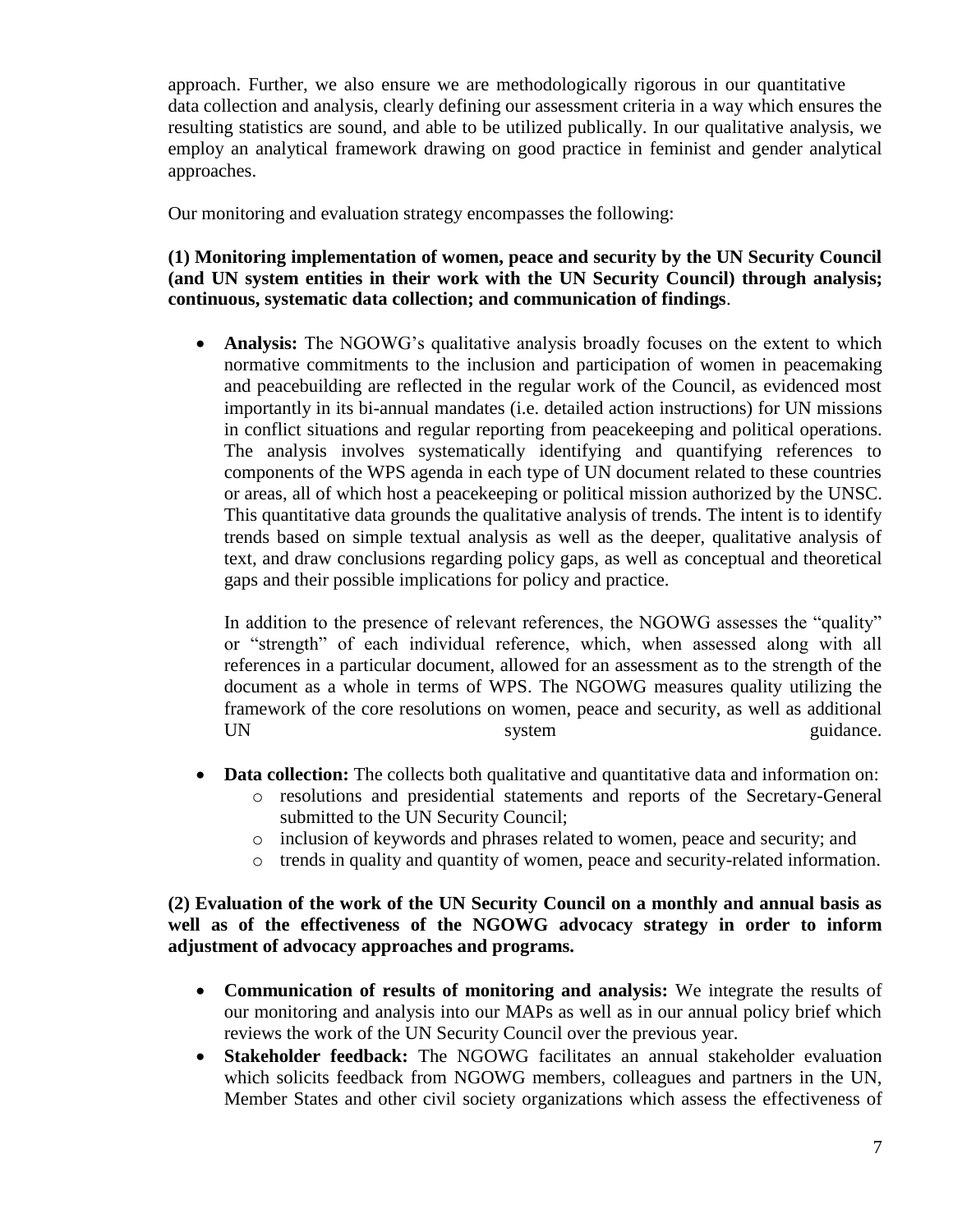approach. Further, we also ensure we are methodologically rigorous in our quantitative data collection and analysis, clearly defining our assessment criteria in a way which ensures the resulting statistics are sound, and able to be utilized publically. In our qualitative analysis, we employ an analytical framework drawing on good practice in feminist and gender analytical approaches.

Our monitoring and evaluation strategy encompasses the following:

### **(1) Monitoring implementation of women, peace and security by the UN Security Council (and UN system entities in their work with the UN Security Council) through analysis; continuous, systematic data collection; and communication of findings**.

• **Analysis:** The NGOWG's qualitative analysis broadly focuses on the extent to which normative commitments to the inclusion and participation of women in peacemaking and peacebuilding are reflected in the regular work of the Council, as evidenced most importantly in its bi-annual mandates (i.e. detailed action instructions) for UN missions in conflict situations and regular reporting from peacekeeping and political operations. The analysis involves systematically identifying and quantifying references to components of the WPS agenda in each type of UN document related to these countries or areas, all of which host a peacekeeping or political mission authorized by the UNSC. This quantitative data grounds the qualitative analysis of trends. The intent is to identify trends based on simple textual analysis as well as the deeper, qualitative analysis of text, and draw conclusions regarding policy gaps, as well as conceptual and theoretical gaps and their possible implications for policy and practice.

In addition to the presence of relevant references, the NGOWG assesses the "quality" or "strength" of each individual reference, which, when assessed along with all references in a particular document, allowed for an assessment as to the strength of the document as a whole in terms of WPS. The NGOWG measures quality utilizing the framework of the core resolutions on women, peace and security, as well as additional UN system guidance.

- **Data collection:** The collects both qualitative and quantitative data and information on:
	- o resolutions and presidential statements and reports of the Secretary-General submitted to the UN Security Council;
	- o inclusion of keywords and phrases related to women, peace and security; and
	- o trends in quality and quantity of women, peace and security-related information.

### **(2) Evaluation of the work of the UN Security Council on a monthly and annual basis as well as of the effectiveness of the NGOWG advocacy strategy in order to inform adjustment of advocacy approaches and programs.**

- **Communication of results of monitoring and analysis:** We integrate the results of our monitoring and analysis into our MAPs as well as in our annual policy brief which reviews the work of the UN Security Council over the previous year.
- **Stakeholder feedback:** The NGOWG facilitates an annual stakeholder evaluation which solicits feedback from NGOWG members, colleagues and partners in the UN, Member States and other civil society organizations which assess the effectiveness of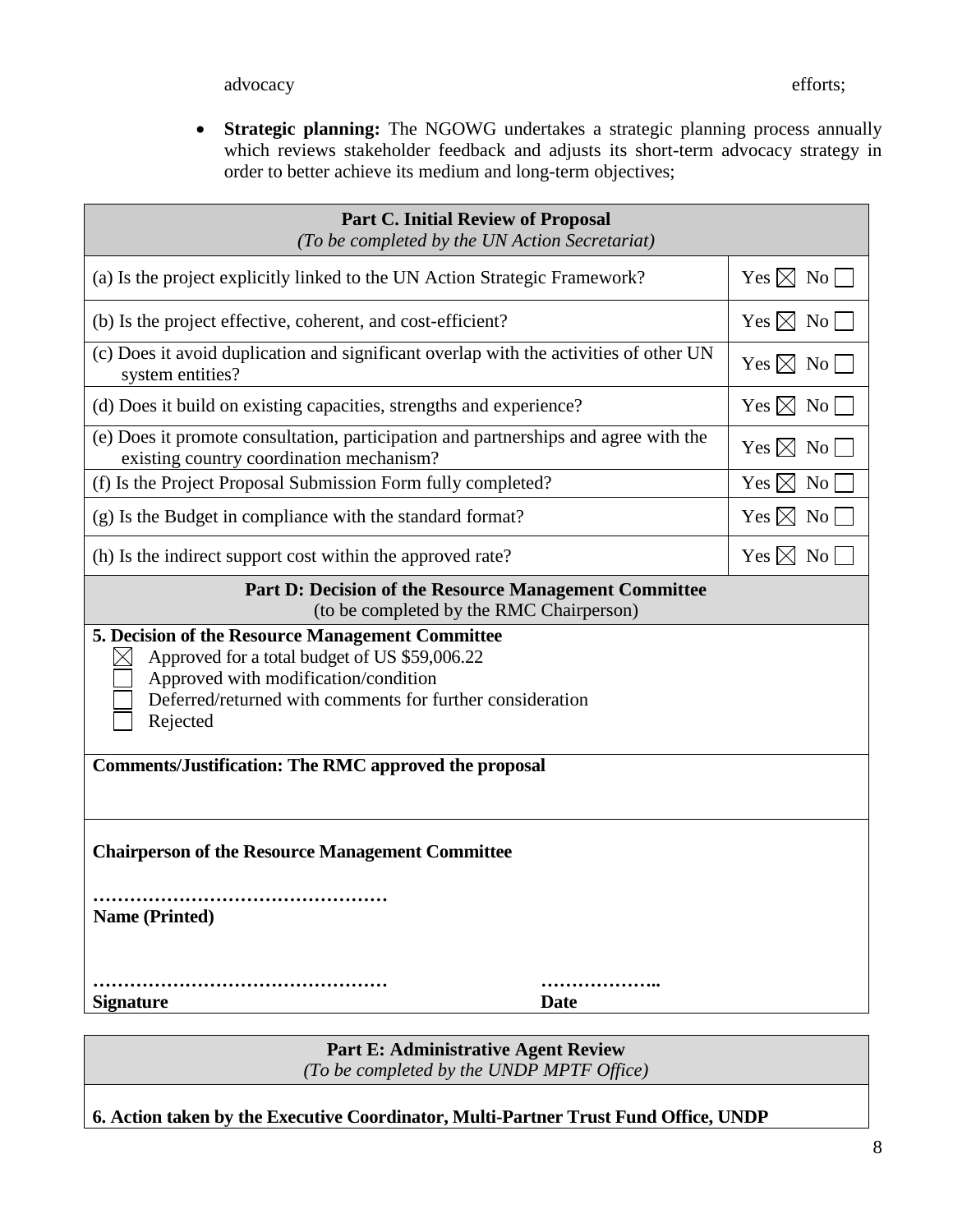**Strategic planning:** The NGOWG undertakes a strategic planning process annually which reviews stakeholder feedback and adjusts its short-term advocacy strategy in order to better achieve its medium and long-term objectives;

| <b>Part C. Initial Review of Proposal</b><br>(To be completed by the UN Action Secretariat)                                                                                                                                                                                        |                    |  |  |  |  |
|------------------------------------------------------------------------------------------------------------------------------------------------------------------------------------------------------------------------------------------------------------------------------------|--------------------|--|--|--|--|
| (a) Is the project explicitly linked to the UN Action Strategic Framework?                                                                                                                                                                                                         | $Yes \boxtimes No$ |  |  |  |  |
| (b) Is the project effective, coherent, and cost-efficient?                                                                                                                                                                                                                        | $Yes \boxtimes No$ |  |  |  |  |
| (c) Does it avoid duplication and significant overlap with the activities of other UN<br>system entities?                                                                                                                                                                          | $Yes \boxtimes No$ |  |  |  |  |
| (d) Does it build on existing capacities, strengths and experience?                                                                                                                                                                                                                | Yes $\boxtimes$ No |  |  |  |  |
| (e) Does it promote consultation, participation and partnerships and agree with the<br>existing country coordination mechanism?                                                                                                                                                    | Yes $\boxtimes$ No |  |  |  |  |
| (f) Is the Project Proposal Submission Form fully completed?                                                                                                                                                                                                                       | Yes $\boxtimes$ No |  |  |  |  |
| (g) Is the Budget in compliance with the standard format?                                                                                                                                                                                                                          | Yes $\boxtimes$ No |  |  |  |  |
| (h) Is the indirect support cost within the approved rate?                                                                                                                                                                                                                         | Yes $\boxtimes$ No |  |  |  |  |
| <b>Part D: Decision of the Resource Management Committee</b><br>(to be completed by the RMC Chairperson)                                                                                                                                                                           |                    |  |  |  |  |
| 5. Decision of the Resource Management Committee<br>Approved for a total budget of US \$59,006.22<br>Approved with modification/condition<br>Deferred/returned with comments for further consideration<br>Rejected<br><b>Comments/Justification: The RMC approved the proposal</b> |                    |  |  |  |  |
| <b>Chairperson of the Resource Management Committee</b><br><b>Name (Printed)</b><br><b>Signature</b><br><b>Date</b>                                                                                                                                                                | .                  |  |  |  |  |

**Part E: Administrative Agent Review** *(To be completed by the UNDP MPTF Office)*

**6. Action taken by the Executive Coordinator, Multi-Partner Trust Fund Office, UNDP**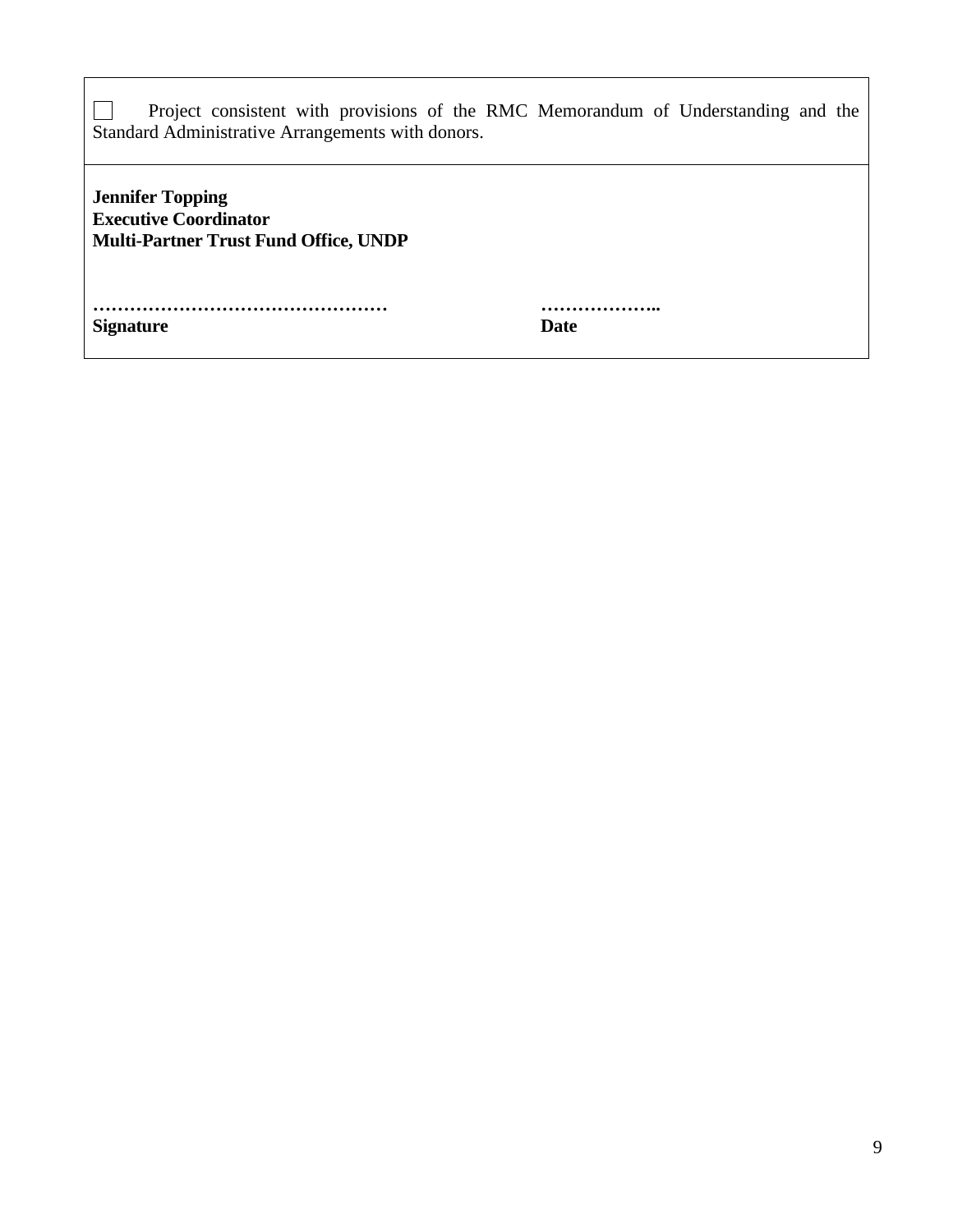|  |  |                                                   |  |  | Project consistent with provisions of the RMC Memorandum of Understanding and the |  |
|--|--|---------------------------------------------------|--|--|-----------------------------------------------------------------------------------|--|
|  |  | Standard Administrative Arrangements with donors. |  |  |                                                                                   |  |

**Jennifer Topping Executive Coordinator Multi-Partner Trust Fund Office, UNDP** 

| <b>Signature</b> | <b>Date</b> |
|------------------|-------------|

**………………………………………… ………………..**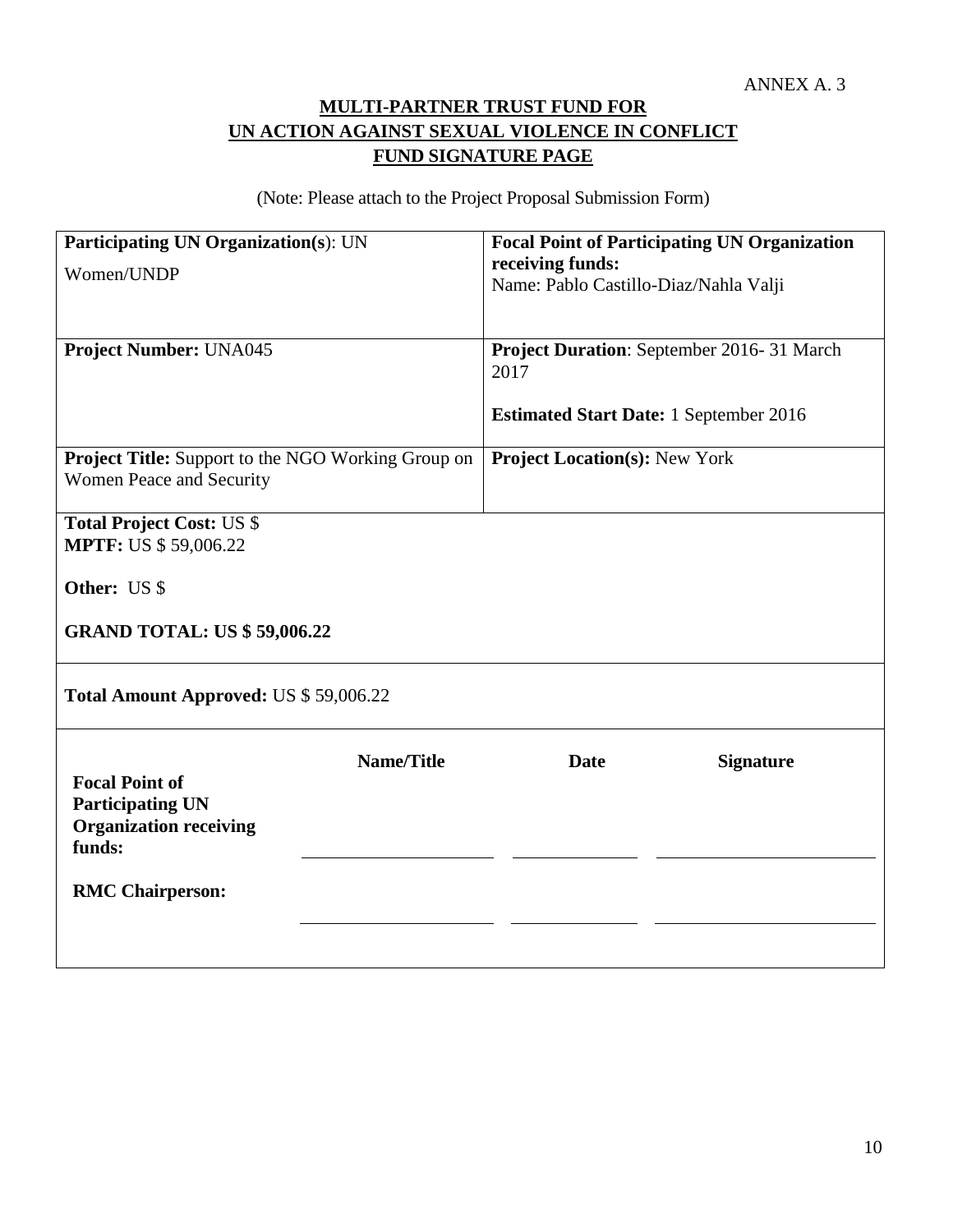# **MULTI-PARTNER TRUST FUND FOR UN ACTION AGAINST SEXUAL VIOLENCE IN CONFLICT FUND SIGNATURE PAGE**

(Note: Please attach to the Project Proposal Submission Form)

| <b>Participating UN Organization(s): UN</b>                      |                   |                                               | <b>Focal Point of Participating UN Organization</b> |  |  |
|------------------------------------------------------------------|-------------------|-----------------------------------------------|-----------------------------------------------------|--|--|
| Women/UNDP                                                       |                   | receiving funds:                              |                                                     |  |  |
|                                                                  |                   | Name: Pablo Castillo-Diaz/Nahla Valji         |                                                     |  |  |
|                                                                  |                   |                                               |                                                     |  |  |
| <b>Project Number: UNA045</b>                                    |                   |                                               | Project Duration: September 2016-31 March           |  |  |
|                                                                  |                   | 2017                                          |                                                     |  |  |
|                                                                  |                   |                                               |                                                     |  |  |
|                                                                  |                   | <b>Estimated Start Date: 1 September 2016</b> |                                                     |  |  |
| Project Title: Support to the NGO Working Group on               |                   | <b>Project Location(s): New York</b>          |                                                     |  |  |
| Women Peace and Security                                         |                   |                                               |                                                     |  |  |
|                                                                  |                   |                                               |                                                     |  |  |
| <b>Total Project Cost: US \$</b><br><b>MPTF: US \$ 59,006.22</b> |                   |                                               |                                                     |  |  |
|                                                                  |                   |                                               |                                                     |  |  |
| Other: US \$                                                     |                   |                                               |                                                     |  |  |
|                                                                  |                   |                                               |                                                     |  |  |
| <b>GRAND TOTAL: US \$59,006.22</b>                               |                   |                                               |                                                     |  |  |
|                                                                  |                   |                                               |                                                     |  |  |
| Total Amount Approved: US \$59,006.22                            |                   |                                               |                                                     |  |  |
|                                                                  | <b>Name/Title</b> | <b>Date</b>                                   | <b>Signature</b>                                    |  |  |
| <b>Focal Point of</b>                                            |                   |                                               |                                                     |  |  |
| <b>Participating UN</b>                                          |                   |                                               |                                                     |  |  |
| <b>Organization receiving</b>                                    |                   |                                               |                                                     |  |  |
| funds:                                                           |                   |                                               |                                                     |  |  |
| <b>RMC Chairperson:</b>                                          |                   |                                               |                                                     |  |  |
|                                                                  |                   |                                               |                                                     |  |  |
|                                                                  |                   |                                               |                                                     |  |  |
|                                                                  |                   |                                               |                                                     |  |  |